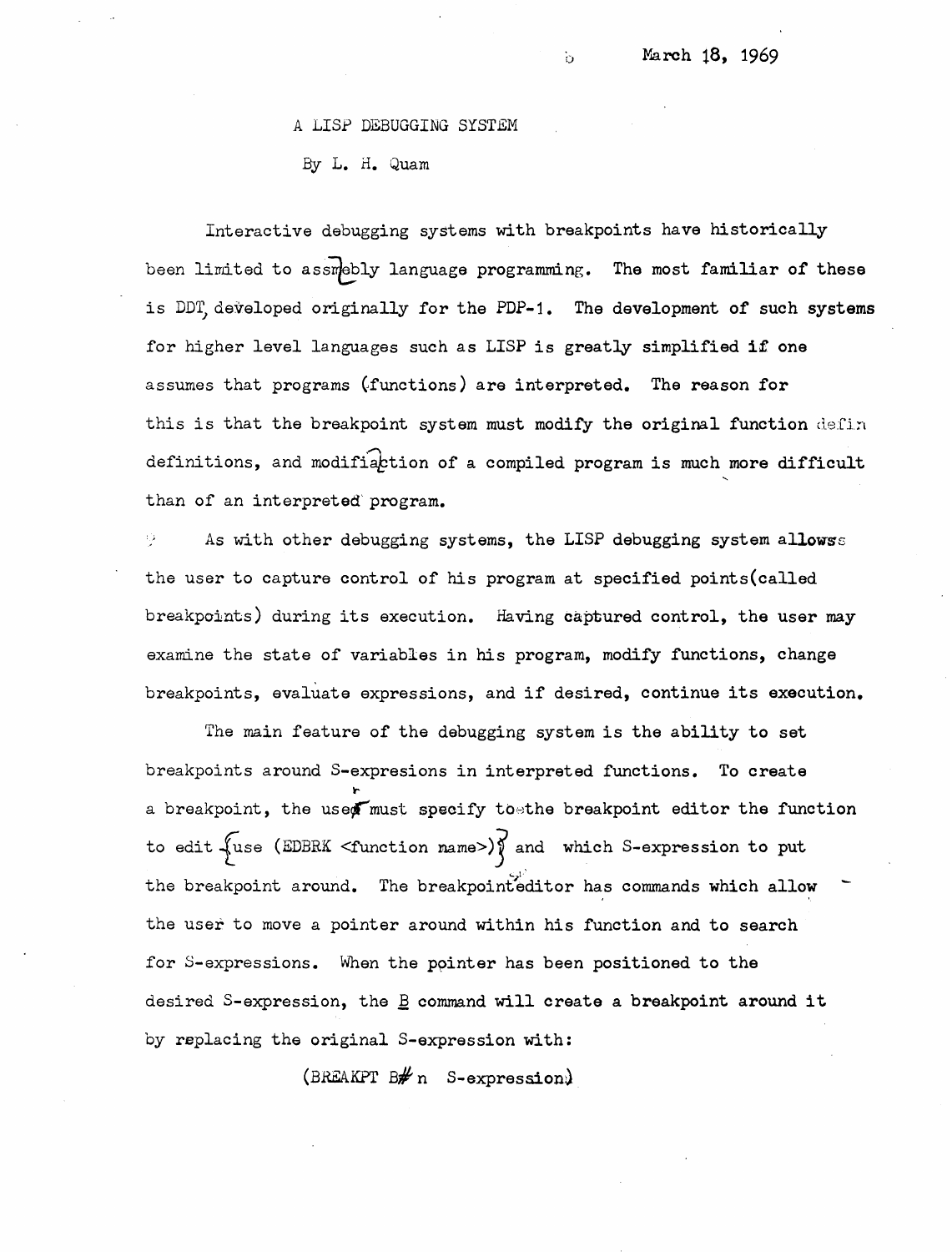## <sup>A</sup>LISP DEBUGGING SYSTEM

By L. H. Quam

Interactive debugging systems with breakpoints have historically been limited to assmebly language programming. The most familiar of these is DDT developed originally for the PDP-1. The development of such **systems**  for higher level languages such as LISP is greatly simplified **if** one assumes that programs (functions) are interpreted. The reason for this is that the breakpoint system must modify the original function defin definitions, and modifiaction of a compiled program is much more difficult than of an interpreted' program.

b

As with other debugging systems, the LISP debugging system allowss the user to capture control of his program at specified points(cal1ed breakpoints) during its execution. Having captured control, the user may examine the state of variables in his program, modify functions, change breakpoints, evaliate expressions, and if desired, continue its execution.

The main feature of the debugging system is the ability to set breakpoints around S-expresions in interpreted functions. To create **t.**  a breakpoint, the used must specify to the breakpoint editor the function to edit  $\sqrt{x}$ use (EDBRK <function name>) $\sqrt{x}$  and which S-expression to put the breakpoint around. The breakpointeditor has commands which allow the user to move a pointer around within his function and to search for S-expressions. When the ppinter has been positioned to the desired S-expression, the  $\underline{B}$  command will create a breakpoint around it by replacing the original S-expression with:

(BREAKPT  $B\# n$  S-expression)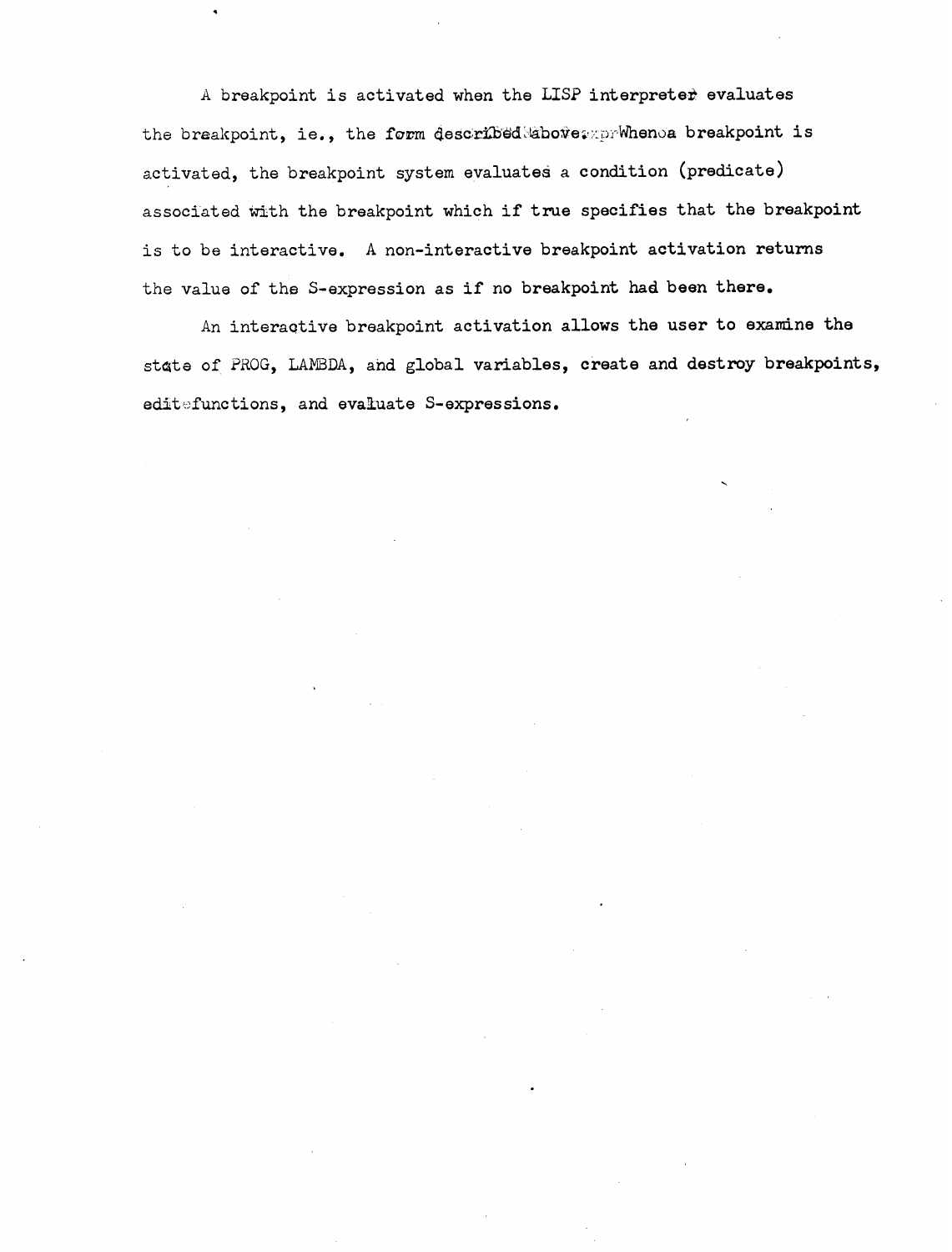A breakpoint is activated when the LISP interpreter evaluates the breakpoint, ie., the form described;above; prwhenoa breakpoint is activated, the breakpoint system evaluates a condition (predicate) associated with the breakpoint which if true specifies that the breakpoint is to be interactive. A non-interactive breakpoint activation returns the **value** of the S-expression as if no breakpoint had been there.

An int eraqtive breakpoint activation allows the user to **examine** the state of ?BOG, LAmDA, and global variables, create **and** destroy breakpoints, editefunctions, and evaluate S-expressions.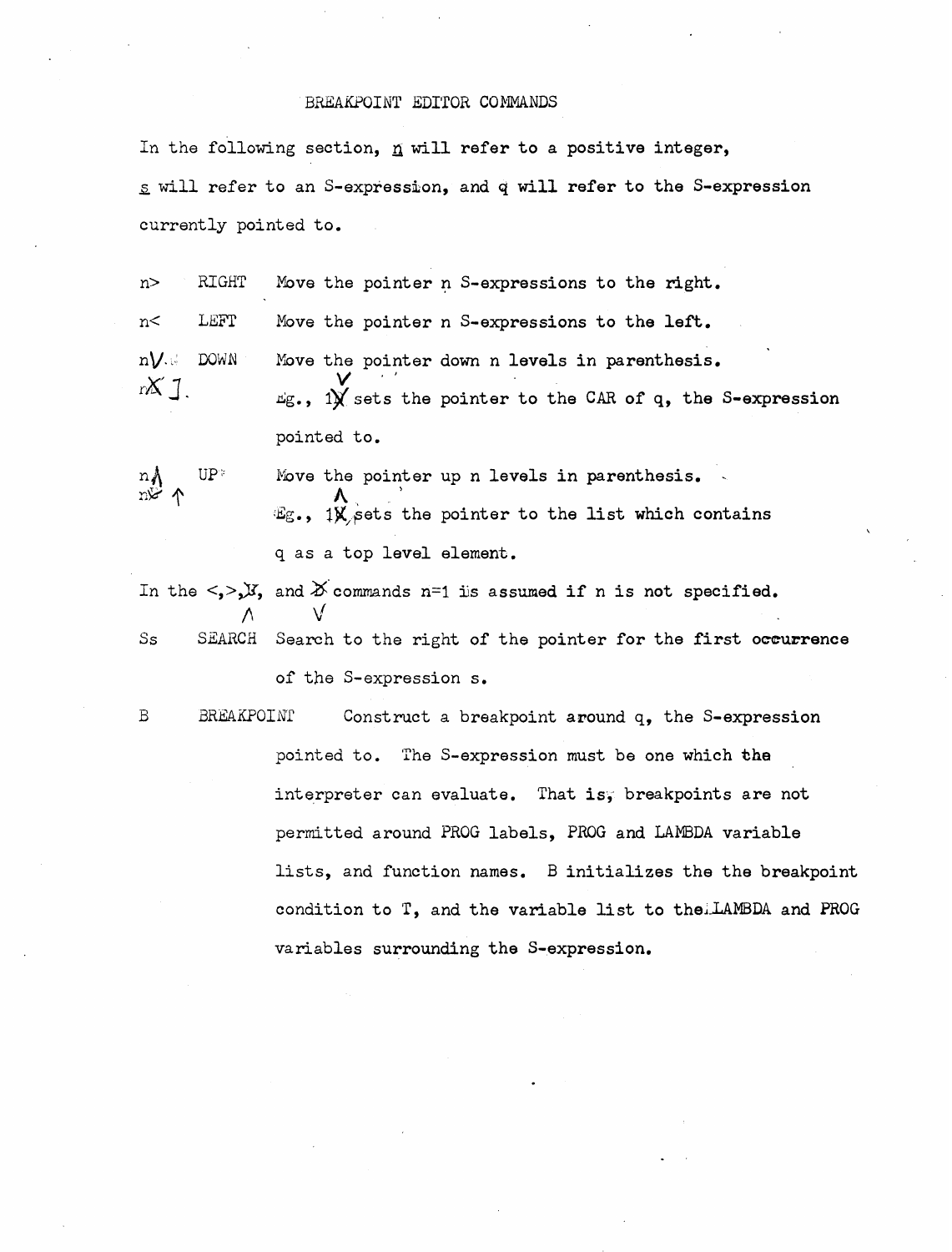## BREAKPOINT EDITOR COMMANDS

In the following section,  $n$  will refer to a positive integer,  $g$  will refer to an S-expression, and q will refer to the S-expression currently pointed to.

n> RIGHT **Move** the pointer **n** S-expressions to the right. n< LB5T Move the pointer n S-expressions to the left. n**V**. DOWN Move the pointer down n levels in parenthesis.  $X$ ].  $\psi$  is the point of the care of q, the S-expression pointed to.

 $n_A$  UP<sup>\*</sup> Move the pointer up n levels in parenthesis. r."? **A,** \ g., Ig,~ets the pointer to the **list** which contains q as a top level element.

In the  $\langle \cdot, \cdot \rangle$ *y*, and  $X$  commands n=1 is assumed if n is not specified.  $\wedge$   $\vee$ Ss SEARCH Search to the right of the pointer for the first occurrence of the S-expression s.

B BREAKPOINI Construct a breakpoint around q, the S-expression pointed to. 'The S-expression must be one which **\*he**  interpreter can evaluate. That is, breakpoints are not permitted around **PROG** labels, **PAOG** and LAMBDA variable lists, and function names. B initializes the the breakpoint condition to T, and the variable list to theLAMBDA and **PROG**  variables surrounding the S-expression.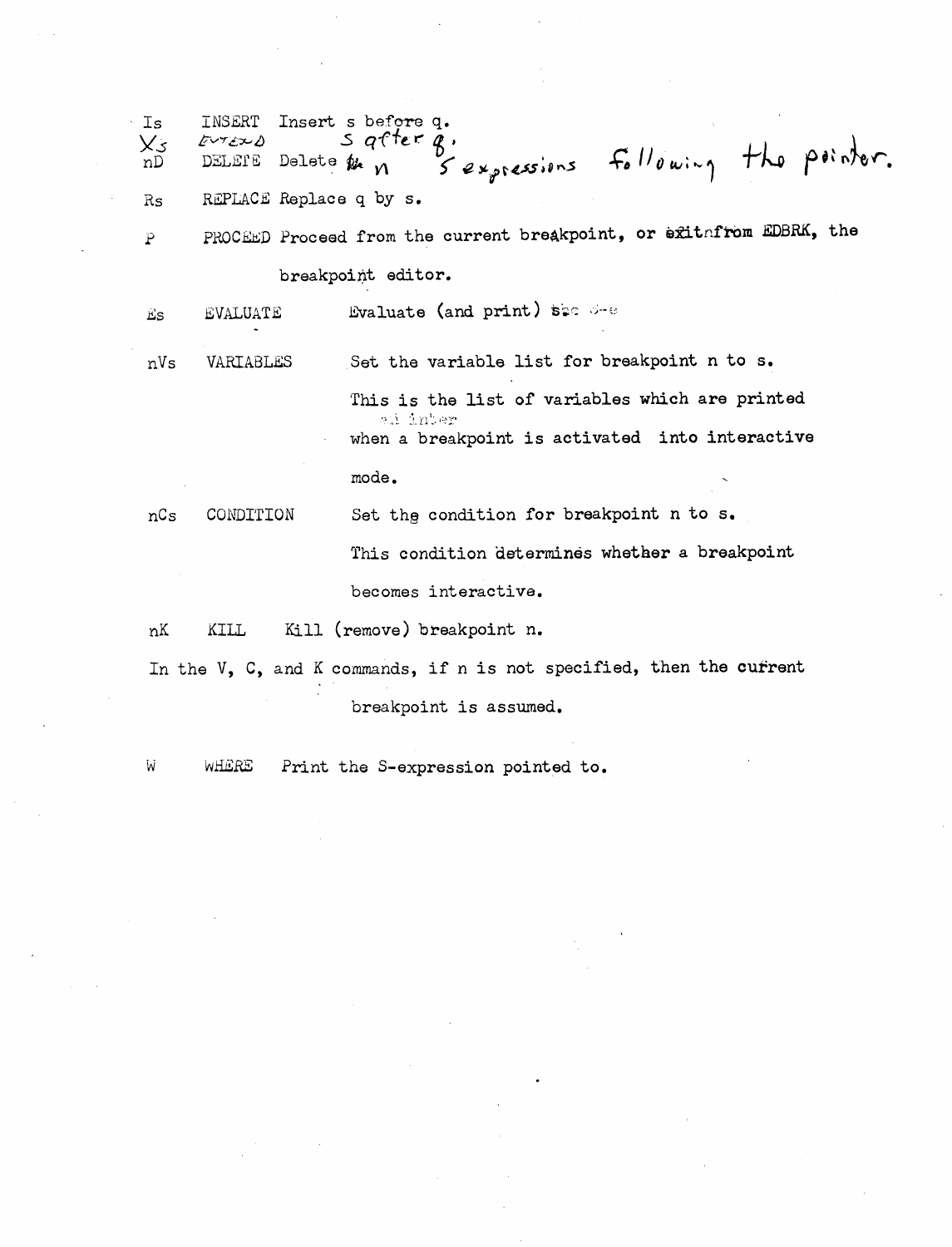Is INSERT Insert *s* before q.<br> $\chi_{5}$  *E*UTERO S after **q**  $e^{x}$   $e^{x}$   $e^{x}$   $e^{x}$   $e^{x}$   $e^{x}$   $e^{x}$   $e^{x}$   $e^{x}$   $e^{x}$   $e^{x}$   $e^{x}$   $e^{x}$   $e^{x}$   $e^{x}$   $e^{x}$   $e^{x}$   $e^{x}$   $e^{x}$   $e^{x}$   $e^{x}$   $e^{x}$   $e^{x}$   $e^{x}$   $e^{x}$   $e^{x}$   $e^{x}$   $e^{x}$   $e^{x}$   $e^{x}$   $e^{x}$   $e^{x$ nD DELETE Delete pan 5 expressions following the pointer. Rs REPLACE Replace q by s. P PROCEED Proceed from the current breakpoint, or exitafrom EDBRK, the breakpoint editor. Evaluate (and print) see See **EVALUATE** Es. nVs VARIABLES Set the variable list for breakpoint n to **s,**  This is the list of variables which are printed and inter when a breakpoint is activated into interactive  $\mathbf{mode}$  . The contract of  $\mathbf{S}$ nCs CONDITION Set the condition for breakpoint n to s.

> **This** condition 'determines whether a breakpoint becomes interactive,

nK KILL **Kill** (remove) breakpoint n.

In the V, C, and K commands, if n is not specified, **then** the cufrent breakpoint is assumed.

W WHERE Print the S-expression pointed to.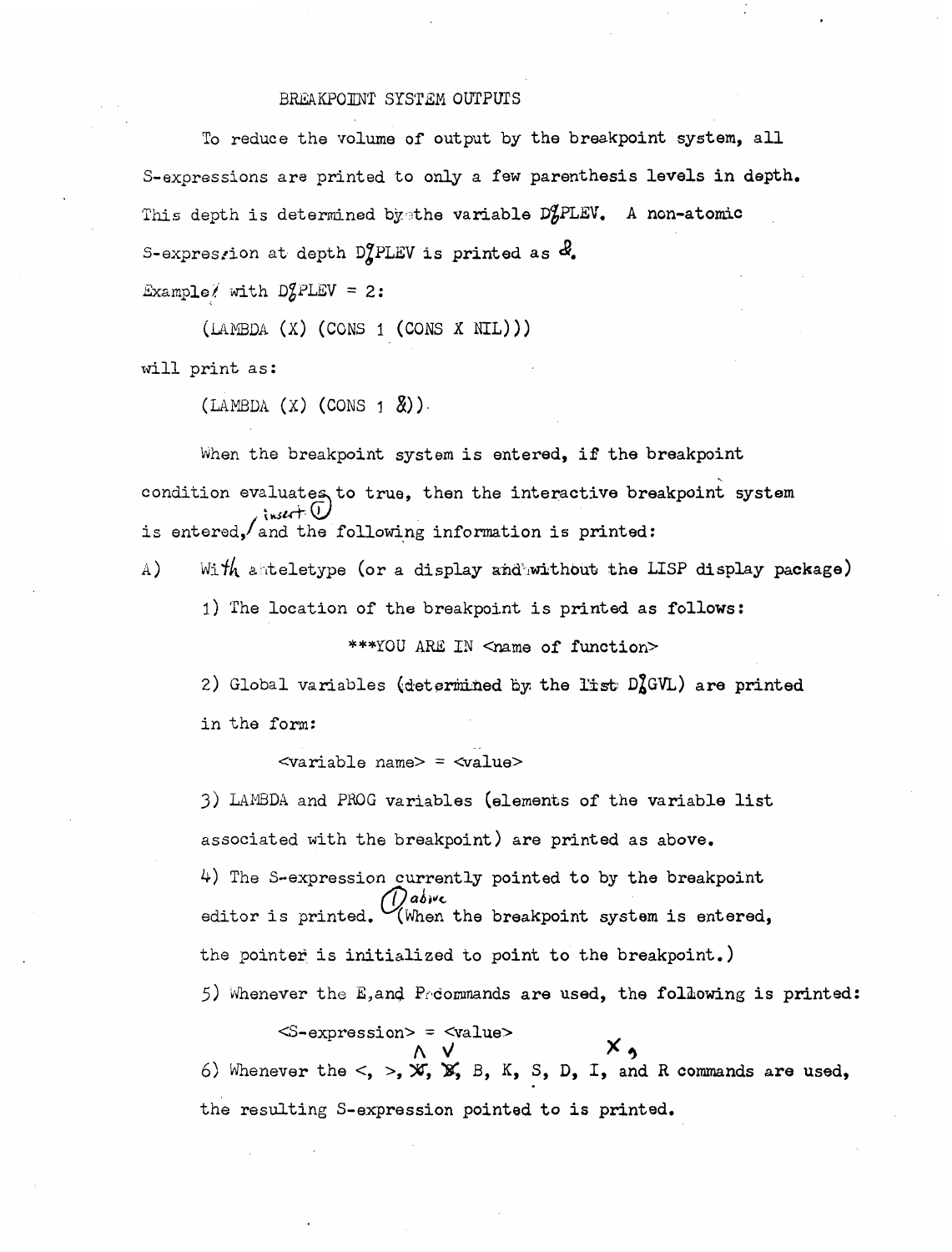## BREAKPOINT SYSTEM OUTPUTS

To reduce the volume of output by the breakpoint system, all S-expressions are printed to only a few parenthesis levels in depth. This depth is determined by the variable D<sup>9</sup>PLEV. A non-atomic S-expresrion at depth  $D_{\mathcal{A}}^{\prime}$ PLEV is printed as  $d_{\mathcal{A}}$ . Example/ with  $DZ$ PLEV = 2:

 $(LAMBDA (X) (cons 1 (cons X NIL)))$ 

will print as:

 $(LAMBDA (X) (CONS 1  $\&$ ).$ 

When the breakpoint system is entered, if the breakpoint condition evaluates to true, then the interactive breakpoint system  $\lambda$  insert  $\overline{0}$ is entered, and the following information is printed:

4) With anteletype (or a display and without the LISP display package)

1) The location of the breakpoint is printed as follows:

\*\*\*YOU ARE IN <name of function>

2) Global variables (determined by the list  $D<sub>A</sub><sup>o</sup>GVL$ ) are printed in the form:

<variable name> = <value>

**3)** IAIYIEIDA and PROG variables (elements of the variable list associated with the breakpoint) are printed as above. of the S-expression currently pointed to by the breakpoint<br>
ditor is printed. (When the breakpoint system is entered, the pointer is initialized to point to the breakpoint.) 5) Whenever the E,and Preormands are used, the following is printed:

 $<$ S-expression> =  $<$ value> **<sup>A</sup>**\! **x9**   $\begin{array}{c} \wedge \vee \\ \wedge \vee \end{array}$ <br>  $\begin{array}{c} \wedge \vee \\ \wedge \vee \end{array}$  whenever the <, >,  $\mathbb{X}, \mathbb{X}, \mathbb{X}, \mathbb{S}, \mathbb{D}, \mathbb{I}, \mathbb{A}$  and R commands are used, the resulting S-expression pointed to is printed.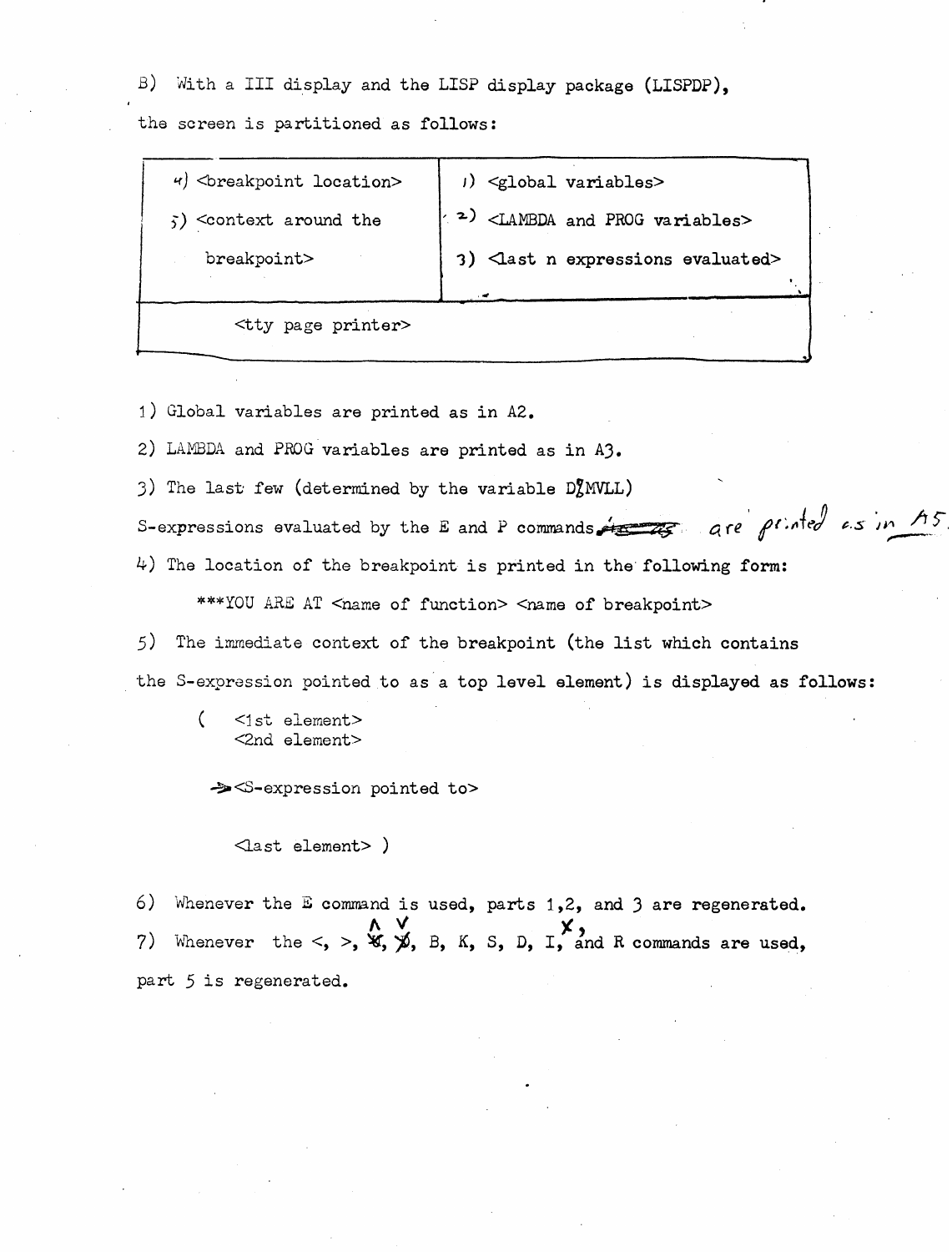$\beta$ ) With a III display and the LISP display package (LISPDP),

tha screen is partitioned as follows:

| $\left  \theta \right $<br>$\theta$ /> $\theta$ /> $\theta$ /> $\theta$ /> $\theta$ /> $\theta$ /> $\theta$ /> $\theta$ /> $\theta$ /> $\theta$ /> $\theta$ /> $\theta$ /> $\theta$ /> $\theta$ /> $\theta$ /> $\theta$ /> $\theta$ /> $\theta$ /> $\theta$ /> $\theta$ /> $\theta$ /> $\theta$ /> $\theta$ /> $\theta$ /> $\theta$ /> $\theta$ | $)$ $\leq$ lobal variables>                             |
|-------------------------------------------------------------------------------------------------------------------------------------------------------------------------------------------------------------------------------------------------------------------------------------------------------------------------------------------------|---------------------------------------------------------|
| $\zeta$ ) < context around the                                                                                                                                                                                                                                                                                                                  | $\sim$ 2) <lambda and="" prog="" variables=""></lambda> |
| breakpoint>                                                                                                                                                                                                                                                                                                                                     | 3) <last evaluated="" expressions="" n=""></last>       |
|                                                                                                                                                                                                                                                                                                                                                 |                                                         |
| <tty page="" printer=""></tty>                                                                                                                                                                                                                                                                                                                  |                                                         |
|                                                                                                                                                                                                                                                                                                                                                 |                                                         |

1) Global variables are printed as in A2.

2) LANBDA and PROG variables are printed as in A3.

3) The last few (determined by the variable  $D<sub>z</sub><sup>T</sup> M V L L$ )

S-expressions evaluated by the E and P commands  $\overbrace{rs}$  are  $\overline{\rho}$  inted  $\overline{\epsilon}$ s in  $7.45$ 

4) The location of the breakpoint is printed in the following form:

\*\*\*YOU ARE AT <name of function> <name of breakpoint>

5) The immediate context of the breakpoint (the list which contains the S-expression pointed to as a top level element) is displayed as follows:

 $\left($  $<sub>1st</sub> element>$ </sub> <2nd element>

**-22** <S-expression pointed to>

 $\triangle$ ast element> )

*6)* Wnenever the E command is used, parts 1,2, and 3 are regenerated. **h y**<br>
9) Whenever the  $\lt$ ,  $\gt$ ,  $\mathfrak{A}$ ,  $\mathfrak{A}$ ,  $\mathfrak{B}$ ,  $\mathfrak{K}$ ,  $\mathfrak{S}$ ,  $\mathfrak{D}$ ,  $\mathfrak{I}$ , and R commands are used, part 5 is regenerated.